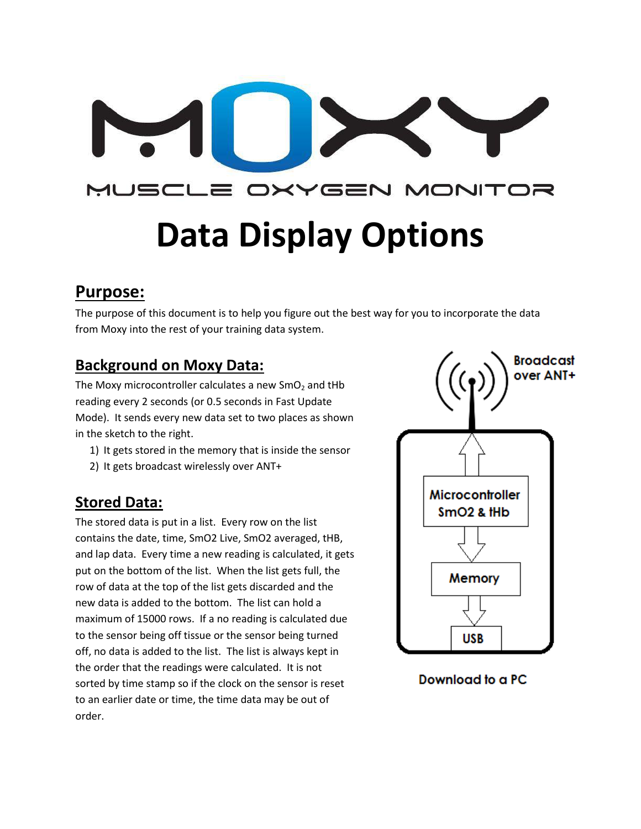# MUSCL .E OXYGEN MONITOR **Data Display Options**

## **Purpose:**

The purpose of this document is to help you figure out the best way for you to incorporate the data from Moxy into the rest of your training data system.

#### **Background on Moxy Data:**

The Moxy microcontroller calculates a new  $SmO<sub>2</sub>$  and tHb reading every 2 seconds (or 0.5 seconds in Fast Update Mode). It sends every new data set to two places as shown in the sketch to the right.

- 1) It gets stored in the memory that is inside the sensor
- 2) It gets broadcast wirelessly over ANT+

#### **Stored Data:**

The stored data is put in a list. Every row on the list contains the date, time, SmO2 Live, SmO2 averaged, tHB, and lap data. Every time a new reading is calculated, it gets put on the bottom of the list. When the list gets full, the row of data at the top of the list gets discarded and the new data is added to the bottom. The list can hold a maximum of 15000 rows. If a no reading is calculated due to the sensor being off tissue or the sensor being turned off, no data is added to the list. The list is always kept in the order that the readings were calculated. It is not sorted by time stamp so if the clock on the sensor is reset to an earlier date or time, the time data may be out of order.



#### **Download to a PC**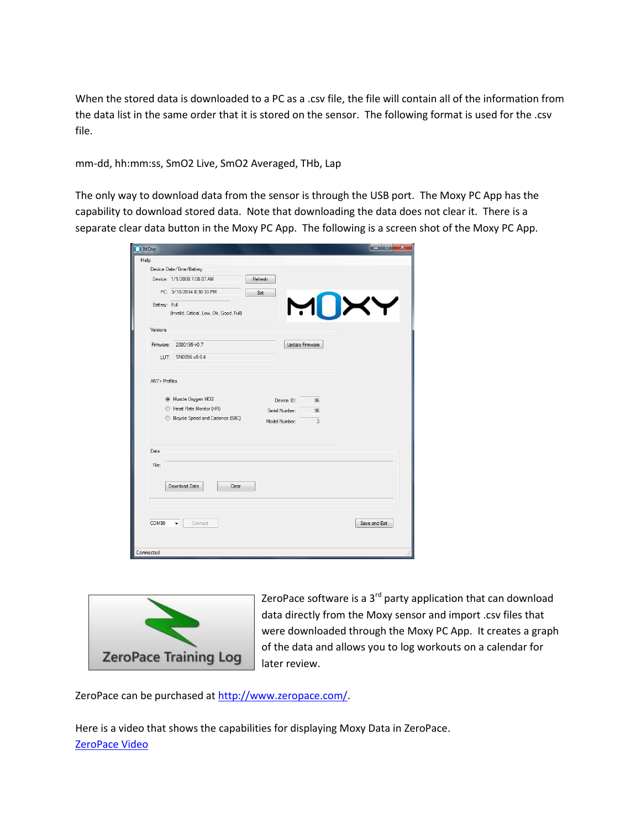When the stored data is downloaded to a PC as a .csv file, the file will contain all of the information from the data list in the same order that it is stored on the sensor. The following format is used for the .csv file.

mm-dd, hh:mm:ss, SmO2 Live, SmO2 Averaged, THb, Lap

The only way to download data from the sensor is through the USB port. The Moxy PC App has the capability to download stored data. Note that downloading the data does not clear it. There is a separate clear data button in the Moxy PC App. The following is a screen shot of the Moxy PC App.

| MOxy          |                                                                                 |                                               |                 | <b>BOOKERS</b> |
|---------------|---------------------------------------------------------------------------------|-----------------------------------------------|-----------------|----------------|
| Help          |                                                                                 |                                               |                 |                |
|               | Device Date/Time/Battery                                                        |                                               |                 |                |
|               | Device: 1/1/2000 7:08:07 AM                                                     | Refresh                                       |                 |                |
|               | PC: 3/10/2014 8:30:33 PM                                                        | Set                                           |                 |                |
| Battery: Full |                                                                                 |                                               |                 |                |
|               | (Invalid, Critical, Low, Ok, Good, Full)                                        |                                               |                 | MUXY           |
| Versions      |                                                                                 |                                               |                 |                |
| Firmware:     | 2000195 v0.7                                                                    |                                               | Update Firmware |                |
|               | LUT: SN0096 v0.0.4                                                              |                                               |                 |                |
|               | Muscle Oxygen MO2<br>Heart Rate Monitor (HR)<br>Bicycle Speed and Cadence (S&C) | Device ID:<br>Serial Number:<br>Model Number: | 96<br>96<br>3   |                |
| Data          |                                                                                 |                                               |                 |                |
| File:         |                                                                                 |                                               |                 |                |
|               | Download Data<br>Clear                                                          |                                               |                 |                |
| COM99         | Connect                                                                         |                                               |                 | Save and Exit  |
|               |                                                                                 |                                               |                 |                |
| Connected     |                                                                                 |                                               |                 |                |



ZeroPace software is a  $3^{rd}$  party application that can download data directly from the Moxy sensor and import .csv files that were downloaded through the Moxy PC App. It creates a graph of the data and allows you to log workouts on a calendar for later review.

ZeroPace can be purchased at [http://www.zeropace.com/.](http://www.zeropace.com/)

Here is a video that shows the capabilities for displaying Moxy Data in ZeroPace. [ZeroPace Video](https://www.youtube.com/watch?v=SlYrHpYrRk0)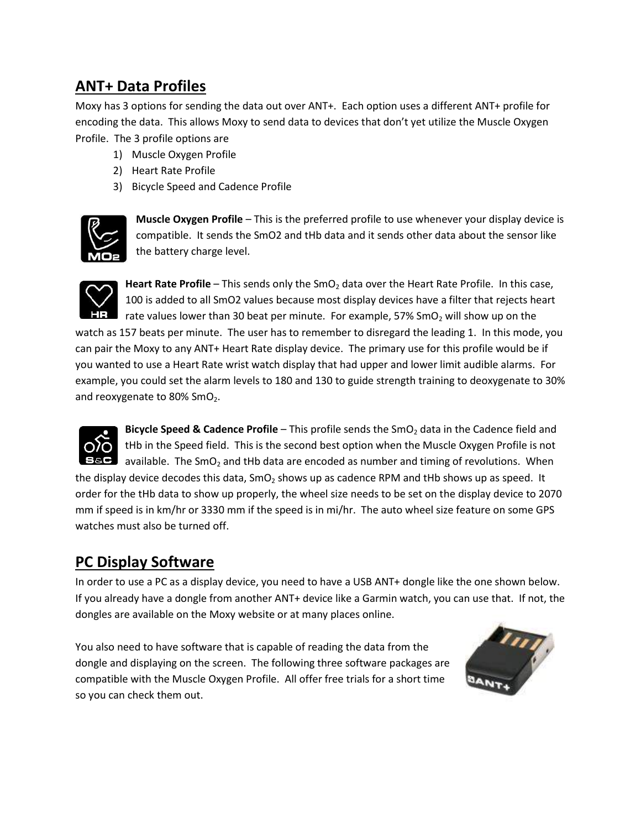#### **ANT+ Data Profiles**

Moxy has 3 options for sending the data out over ANT+. Each option uses a different ANT+ profile for encoding the data. This allows Moxy to send data to devices that don't yet utilize the Muscle Oxygen Profile. The 3 profile options are

- 1) Muscle Oxygen Profile
- 2) Heart Rate Profile
- 3) Bicycle Speed and Cadence Profile



**Muscle Oxygen Profile** – This is the preferred profile to use whenever your display device is compatible. It sends the SmO2 and tHb data and it sends other data about the sensor like the battery charge level.



Heart Rate Profile – This sends only the SmO<sub>2</sub> data over the Heart Rate Profile. In this case, 100 is added to all SmO2 values because most display devices have a filter that rejects heart rate values lower than 30 beat per minute. For example,  $57\%$  SmO<sub>2</sub> will show up on the

watch as 157 beats per minute. The user has to remember to disregard the leading 1. In this mode, you can pair the Moxy to any ANT+ Heart Rate display device. The primary use for this profile would be if you wanted to use a Heart Rate wrist watch display that had upper and lower limit audible alarms. For example, you could set the alarm levels to 180 and 130 to guide strength training to deoxygenate to 30% and reoxygenate to 80% SmO<sub>2</sub>.



**Bicycle Speed & Cadence Profile** – This profile sends the SmO<sub>2</sub> data in the Cadence field and tHb in the Speed field. This is the second best option when the Muscle Oxygen Profile is not available. The SmO<sub>2</sub> and tHb data are encoded as number and timing of revolutions. When

the display device decodes this data,  $\text{SmO}_2$  shows up as cadence RPM and tHb shows up as speed. It order for the tHb data to show up properly, the wheel size needs to be set on the display device to 2070 mm if speed is in km/hr or 3330 mm if the speed is in mi/hr. The auto wheel size feature on some GPS watches must also be turned off.

## **PC Display Software**

In order to use a PC as a display device, you need to have a USB ANT+ dongle like the one shown below. If you already have a dongle from another ANT+ device like a Garmin watch, you can use that. If not, the dongles are available on the Moxy website or at many places online.

You also need to have software that is capable of reading the data from the dongle and displaying on the screen. The following three software packages are compatible with the Muscle Oxygen Profile. All offer free trials for a short time so you can check them out.

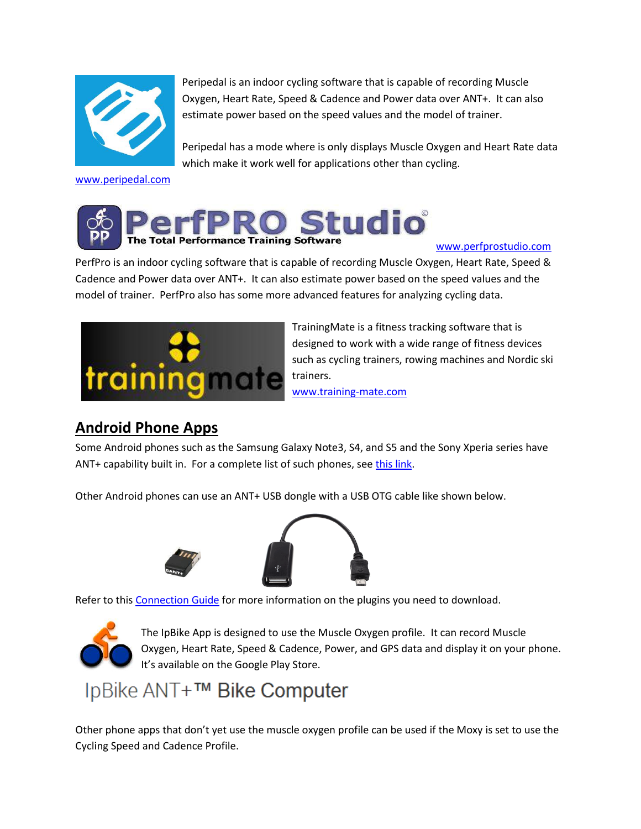

Peripedal is an indoor cycling software that is capable of recording Muscle Oxygen, Heart Rate, Speed & Cadence and Power data over ANT+. It can also estimate power based on the speed values and the model of trainer.

Peripedal has a mode where is only displays Muscle Oxygen and Heart Rate data which make it work well for applications other than cycling.

[www.peripedal.com](http://www.peripedal.com/)



[www.perfprostudio.com](http://www.perfprostudio.com/)

PerfPro is an indoor cycling software that is capable of recording Muscle Oxygen, Heart Rate, Speed & Cadence and Power data over ANT+. It can also estimate power based on the speed values and the model of trainer. PerfPro also has some more advanced features for analyzing cycling data.



TrainingMate is a fitness tracking software that is designed to work with a wide range of fitness devices such as cycling trainers, rowing machines and Nordic ski trainers. [www.training-mate.com](http://www.training-mate.com/)

#### **Android Phone Apps**

Some Android phones such as the Samsung Galaxy Note3, S4, and S5 and the Sony Xperia series have ANT+ capability built in. For a complete list of such phones, see [this link.](http://www.thisisant.com/directory/filter/~/60/~/)

Other Android phones can use an ANT+ USB dongle with a USB OTG cable like shown below.





Refer to this [Connection Guide](http://www.thisisant.com/consumer/ant-101/ant-in-phones/) for more information on the plugins you need to download.



The IpBike App is designed to use the Muscle Oxygen profile. It can record Muscle Oxygen, Heart Rate, Speed & Cadence, Power, and GPS data and display it on your phone. It's available on the Google Play Store.

# IpBike ANT+™ Bike Computer

Other phone apps that don't yet use the muscle oxygen profile can be used if the Moxy is set to use the Cycling Speed and Cadence Profile.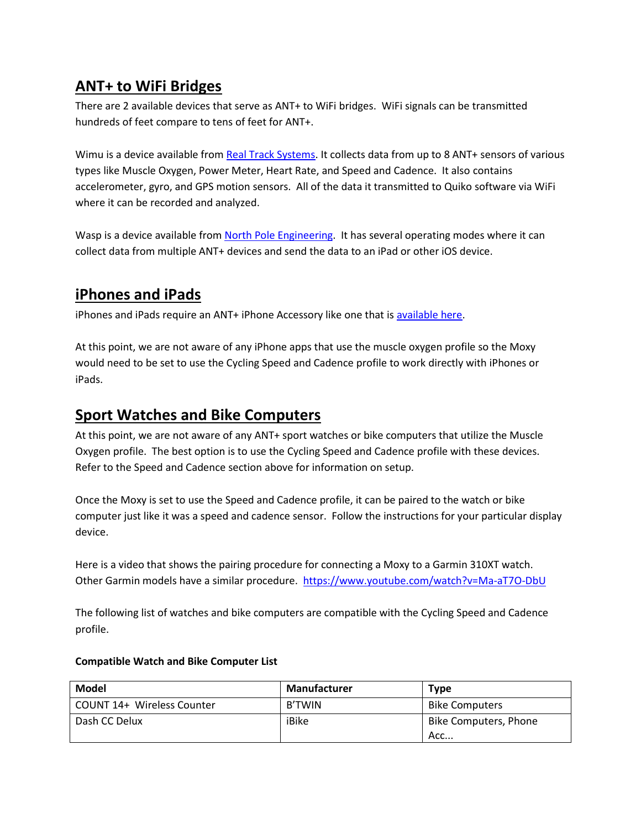#### **ANT+ to WiFi Bridges**

There are 2 available devices that serve as ANT+ to WiFi bridges. WiFi signals can be transmitted hundreds of feet compare to tens of feet for ANT+.

Wimu is a device available from [Real Track Systems.](http://www.realtracksystems.com/) It collects data from up to 8 ANT+ sensors of various types like Muscle Oxygen, Power Meter, Heart Rate, and Speed and Cadence. It also contains accelerometer, gyro, and GPS motion sensors. All of the data it transmitted to Quiko software via WiFi where it can be recorded and analyzed.

Wasp is a device available fro[m North Pole Engineering.](http://www.npe-inc.com/products/products-wasp.html) It has several operating modes where it can collect data from multiple ANT+ devices and send the data to an iPad or other iOS device.

#### **iPhones and iPads**

iPhones and iPads require an ANT+ iPhone Accessory like one that is [available here.](http://www.wahoofitness.com/wahoo-key.html)

At this point, we are not aware of any iPhone apps that use the muscle oxygen profile so the Moxy would need to be set to use the Cycling Speed and Cadence profile to work directly with iPhones or iPads.

#### **Sport Watches and Bike Computers**

At this point, we are not aware of any ANT+ sport watches or bike computers that utilize the Muscle Oxygen profile. The best option is to use the Cycling Speed and Cadence profile with these devices. Refer to the Speed and Cadence section above for information on setup.

Once the Moxy is set to use the Speed and Cadence profile, it can be paired to the watch or bike computer just like it was a speed and cadence sensor. Follow the instructions for your particular display device.

Here is a video that shows the pairing procedure for connecting a Moxy to a Garmin 310XT watch. Other Garmin models have a similar procedure.<https://www.youtube.com/watch?v=Ma-aT7O-DbU>

The following list of watches and bike computers are compatible with the Cycling Speed and Cadence profile.

| Model                      | Manufacturer  | <b>Type</b>                  |
|----------------------------|---------------|------------------------------|
| COUNT 14+ Wireless Counter | <b>B'TWIN</b> | <b>Bike Computers</b>        |
| Dash CC Delux              | iBike         | Bike Computers, Phone<br>Acc |

#### **Compatible Watch and Bike Computer List**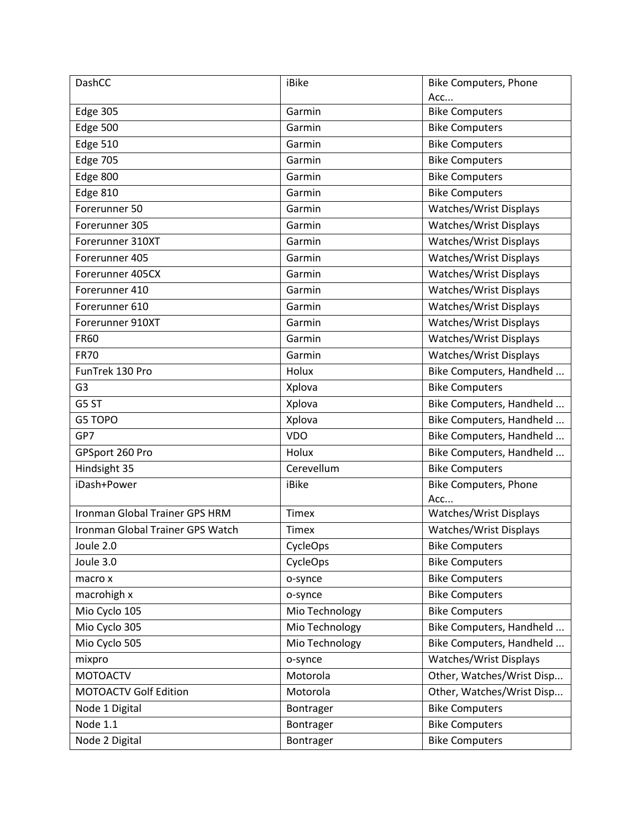| DashCC                           | iBike          | <b>Bike Computers, Phone</b>  |  |
|----------------------------------|----------------|-------------------------------|--|
|                                  |                | Acc                           |  |
| <b>Edge 305</b>                  | Garmin         | <b>Bike Computers</b>         |  |
| Edge 500                         | Garmin         | <b>Bike Computers</b>         |  |
| <b>Edge 510</b>                  | Garmin         | <b>Bike Computers</b>         |  |
| <b>Edge 705</b>                  | Garmin         | <b>Bike Computers</b>         |  |
| Edge 800                         | Garmin         | <b>Bike Computers</b>         |  |
| <b>Edge 810</b>                  | Garmin         | <b>Bike Computers</b>         |  |
| Forerunner 50                    | Garmin         | Watches/Wrist Displays        |  |
| Forerunner 305                   | Garmin         | <b>Watches/Wrist Displays</b> |  |
| Forerunner 310XT                 | Garmin         | Watches/Wrist Displays        |  |
| Forerunner 405                   | Garmin         | Watches/Wrist Displays        |  |
| Forerunner 405CX                 | Garmin         | <b>Watches/Wrist Displays</b> |  |
| Forerunner 410                   | Garmin         | Watches/Wrist Displays        |  |
| Forerunner 610                   | Garmin         | Watches/Wrist Displays        |  |
| Forerunner 910XT                 | Garmin         | Watches/Wrist Displays        |  |
| <b>FR60</b>                      | Garmin         | <b>Watches/Wrist Displays</b> |  |
| <b>FR70</b>                      | Garmin         | Watches/Wrist Displays        |  |
| FunTrek 130 Pro                  | Holux          | Bike Computers, Handheld      |  |
| G <sub>3</sub>                   | Xplova         | <b>Bike Computers</b>         |  |
| G5 ST                            | Xplova         | Bike Computers, Handheld      |  |
| G5 TOPO                          | Xplova         | Bike Computers, Handheld      |  |
| GP7                              | <b>VDO</b>     | Bike Computers, Handheld      |  |
| GPSport 260 Pro                  | Holux          | Bike Computers, Handheld      |  |
| Hindsight 35                     | Cerevellum     | <b>Bike Computers</b>         |  |
| iDash+Power                      | iBike          | <b>Bike Computers, Phone</b>  |  |
|                                  |                | Acc                           |  |
| Ironman Global Trainer GPS HRM   | <b>Timex</b>   | Watches/Wrist Displays        |  |
| Ironman Global Trainer GPS Watch | <b>Timex</b>   | Watches/Wrist Displays        |  |
| Joule 2.0                        | CycleOps       | <b>Bike Computers</b>         |  |
| Joule 3.0                        | CycleOps       | <b>Bike Computers</b>         |  |
| macro x                          | o-synce        | <b>Bike Computers</b>         |  |
| macrohigh x                      | o-synce        | <b>Bike Computers</b>         |  |
| Mio Cyclo 105                    | Mio Technology | <b>Bike Computers</b>         |  |
| Mio Cyclo 305                    | Mio Technology | Bike Computers, Handheld      |  |
| Mio Cyclo 505                    | Mio Technology | Bike Computers, Handheld      |  |
| mixpro                           | o-synce        | Watches/Wrist Displays        |  |
| <b>MOTOACTV</b>                  | Motorola       | Other, Watches/Wrist Disp     |  |
| <b>MOTOACTV Golf Edition</b>     | Motorola       | Other, Watches/Wrist Disp     |  |
| Node 1 Digital                   | Bontrager      | <b>Bike Computers</b>         |  |
| Node 1.1                         | Bontrager      | <b>Bike Computers</b>         |  |
| Node 2 Digital                   | Bontrager      | <b>Bike Computers</b>         |  |